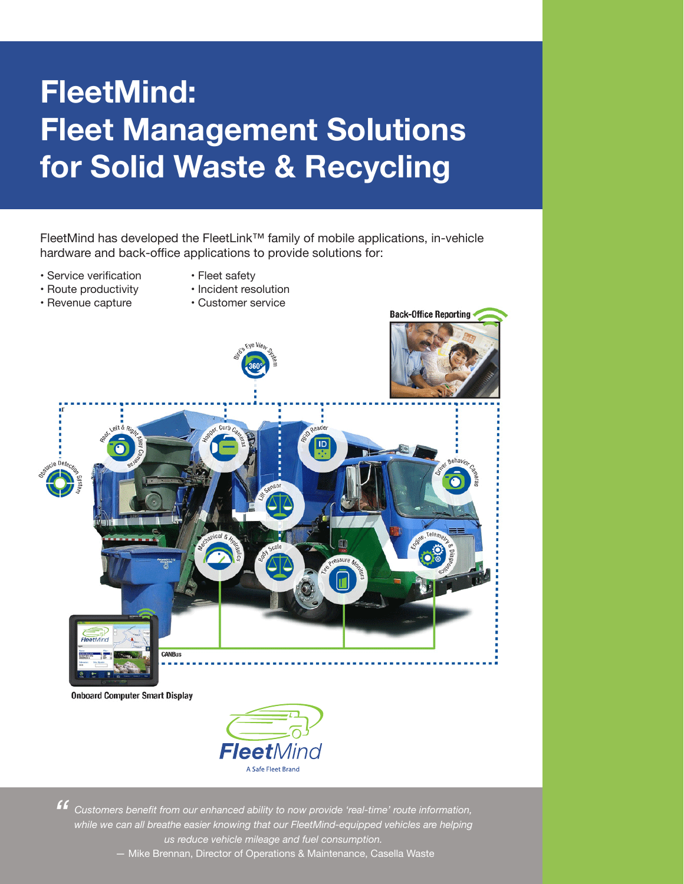# **FleetMind: Fleet Management Solutions for Solid Waste & Recycling**

FleetMind has developed the FleetLink™ family of mobile applications, in-vehicle hardware and back-office applications to provide solutions for:

- Service verification
- Fleet safety
- Route productivity • Revenue capture
- Incident resolution
- Customer service



*Customers benefit from our enhanced ability to now provide 'real-time' route information, "while we can all breathe easier knowing that our FleetMind-equipped vehicles are helping us reduce vehicle mileage and fuel consumption.*

— Mike Brennan, Director of Operations & Maintenance, Casella Waste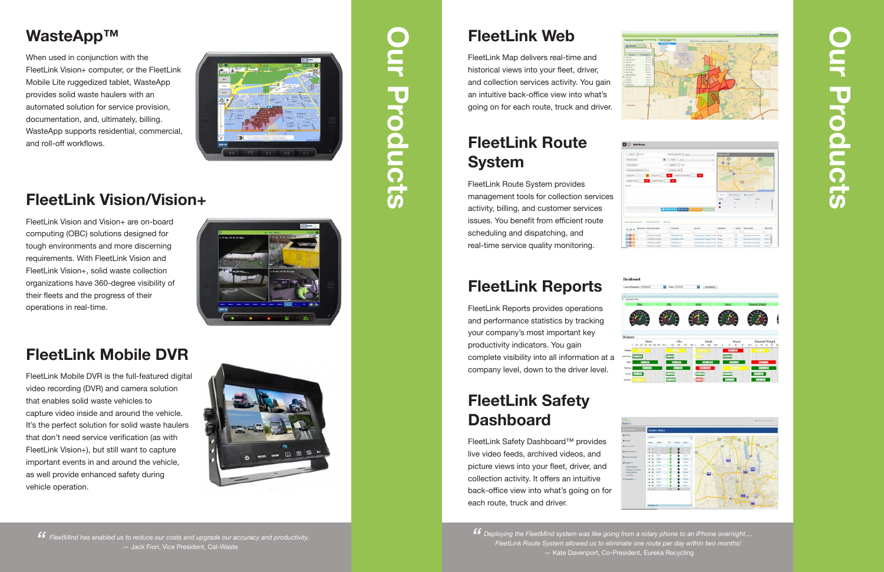# **Our Products** Proclucts

### **FleetLink Route System**

### **FleetLink Reports**

#### **FleetLink Safety Dashboard**

# **FleetLink Vision/Vision+**

# **FleetLink Mobile DVR**

When used in conjunction with the FleetLink Vision+ computer, or the FleetLink Mobile Lite ruggedized tablet, WasteApp provides solid waste haulers with an automated solution for service provision, documentation, and, ultimately, billing. WasteApp supports residential, commercial, and roll-off workflows.



FleetLink Map delivers real-time and historical views into your fleet, driver, and collection services activity. You gain an intuitive back-office view into what's going on for each route, truck and driver.

FleetLink Route System provides management tools for collection services activity, billing, and customer services issues. You benefit from efficient route scheduling and dispatching, and real-time service quality monitoring.

FleetLink Reports provides operations and performance statistics by tracking your company's most important key productivity indicators. You gain complete visibility into all information at a company level, down to the driver level.

**FF** FleetMind has enabled us to reduce our costs and upgrade our accuracy and productivity.<br>— Jack Fiori, Vice President, Cal-Waste — Jack Fiori, Vice President, Cal-Waste

# **Our Products** Products

# **WasteApp™ FleetLink Web**

FleetLink Safety Dashboard™ provides live video feeds, archived videos, and picture views into your fleet, driver, and collection activity. It offers an intuitive back-office view into what's going on for each route, truck and driver.

FleetLink Vision and Vision+ are on-board computing (OBC) solutions designed for tough environments and more discerning requirements. With FleetLink Vision and FleetLink Vision+, solid waste collection organizations have 360-degree visibility of their fleets and the progress of their operations in real-time.

FleetLink Mobile DVR is the full-featured digital video recording (DVR) and camera solution that enables solid waste vehicles to capture video inside and around the vehicle. It's the perfect solution for solid waste haulers that don't need service verification (as with FleetLink Vision+), but still want to capture important events in and around the vehicle, as well provide enhanced safety during vehicle operation.



*Deploying the FleetMind system was like going from a rotary phone to an iPhone overnight.... "FleetLink Route System allowed us to eliminate one route per day within two months!*  — Kate Davenport, Co-President, Eureka Recycling



Edit Rout





Date 2010016 . May Report